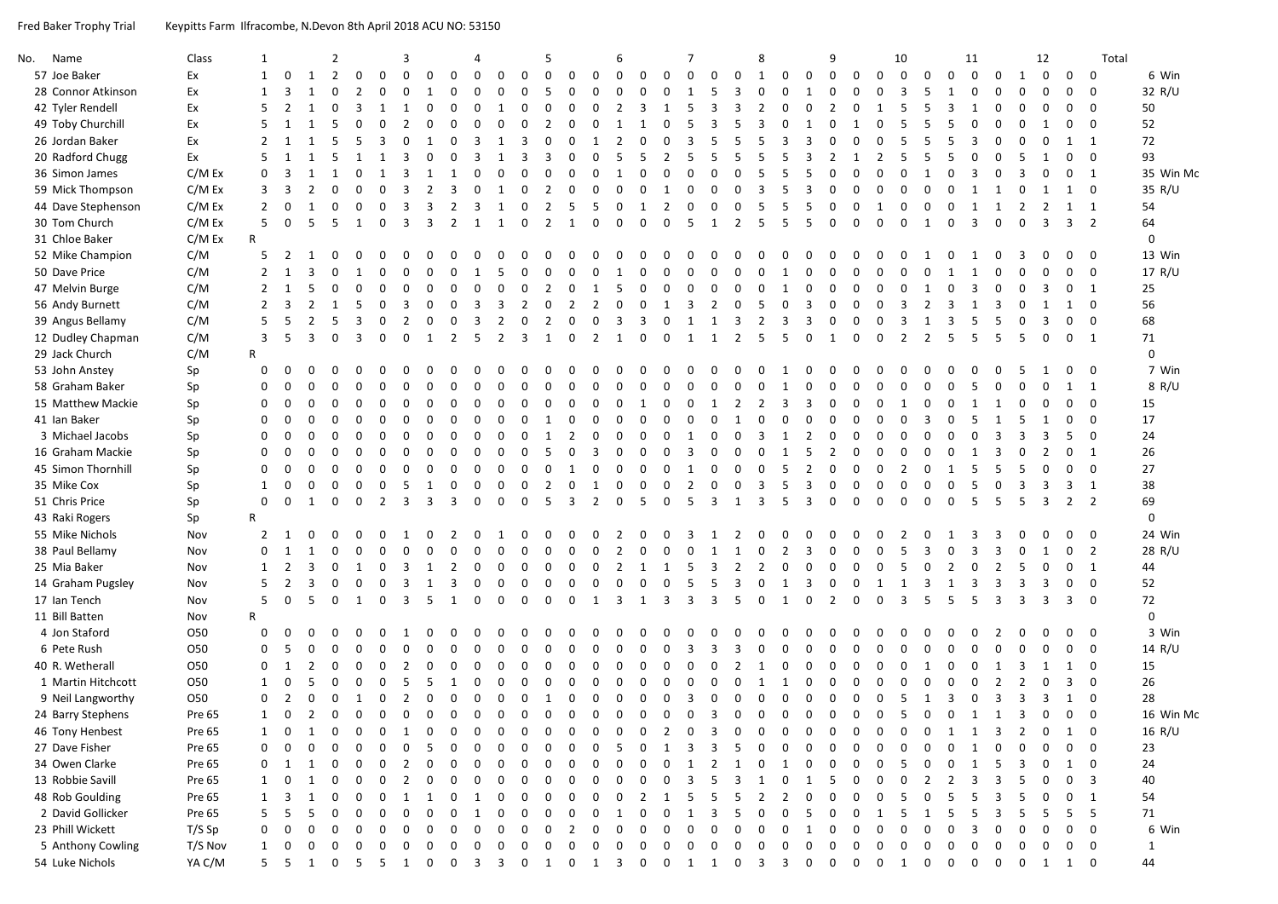Fred Baker Trophy Trial Keypitts Farm Ilfracombe, N.Devon 8th April 2018 ACU NO: 53150

| No. | Name               | Class      | 1              |                |                | $\overline{2}$ |                |                | 3              |                |                | Δ           |                |                | 5              |                |                | 6              |                |                | 7              |                         |                | 8              |                |                | 9                              |                | 10             |                |                | 11             |                |                | 12             |                | Total                   |              |
|-----|--------------------|------------|----------------|----------------|----------------|----------------|----------------|----------------|----------------|----------------|----------------|-------------|----------------|----------------|----------------|----------------|----------------|----------------|----------------|----------------|----------------|-------------------------|----------------|----------------|----------------|----------------|--------------------------------|----------------|----------------|----------------|----------------|----------------|----------------|----------------|----------------|----------------|-------------------------|--------------|
|     | 57 Joe Baker       | Ex         | 1              | $\mathbf 0$    | 1              | $\overline{2}$ | $\Omega$       | $\Omega$       | $\Omega$       | $\Omega$       | $\Omega$       | $\Omega$    | $\Omega$       | $\Omega$       | $\Omega$       | $\Omega$       | $\Omega$       | $\Omega$       | $\Omega$       | $\Omega$       | $\Omega$       | $\Omega$                | $\Omega$       | 1              | 0              | $\mathbf 0$    | $\mathbf 0$<br>$\mathbf 0$     | $\Omega$       | $\mathbf 0$    | $\Omega$       | $\Omega$       | $\Omega$       | $\Omega$       | 1              | $\mathbf 0$    | $\mathbf 0$    | 0                       | 6 Win        |
|     | 28 Connor Atkinson | Ex         | 1              | 3              |                | $\Omega$       | $\overline{2}$ | $\Omega$       | $\Omega$       |                | 0              | $\Omega$    | 0              | $\Omega$       | 5              | $\Omega$       | $\Omega$       | $\Omega$       | $\Omega$       | $\mathbf 0$    | $\mathbf{1}$   | 5                       | 3              | $\Omega$       | $\Omega$       | $\mathbf{1}$   | $\Omega$<br>0                  | 0              | 3              | 5              | 1              | $\Omega$       | 0              | $\Omega$       | $\Omega$       | $\Omega$       | 0                       | 32 R/U       |
|     | 42 Tyler Rendell   | Ex         | 5              | $\overline{2}$ |                | $\Omega$       | 3              |                |                | $\Omega$       | U              | $\Omega$    |                | $\Omega$       | $\Omega$       | $\Omega$       | $\Omega$       | $\overline{2}$ | 3              | 1              | .5             | $\mathbf{B}$            | 3              | $\overline{2}$ | $\Omega$       | $\Omega$       | $\overline{2}$<br>$\Omega$     |                | 5              | 5              | 3              | $\overline{1}$ | $\Omega$       | $\Omega$       | $\Omega$       | 0              | $\Omega$                | 50           |
|     | 49 Toby Churchill  | Ex         | 5              |                |                | -5             | $\Omega$       | $\Omega$       | $\overline{2}$ | O              | U              | $\Omega$    | $\Omega$       | $\Omega$       | $\overline{2}$ | $\Omega$       | $\Omega$       | $\mathbf{1}$   | $\overline{1}$ | $\Omega$       | 5              | 3                       | 5              | 3              | $\Omega$       |                | <sup>0</sup>                   | $\Omega$       | 5              | 5              | 5              | O              | $\Omega$       | $\Omega$       |                | <sup>0</sup>   | $\Omega$                | 52           |
|     | 26 Jordan Baker    | Ex         | 2              |                |                | 5              | 5              | 3              | $\Omega$       | 1              | $\Omega$       | 3           | 1              | 3              | 0              | 0              | 1              | $\overline{2}$ | 0              | 0              | 3              | 5                       | 5              | 5              | 3              | 3              | $\Omega$<br>$\mathbf 0$        | $\Omega$       | 5              | 5              | 5              | $\mathbf{a}$   | $\Omega$       | $\Omega$       | $\Omega$       | 1              | 1                       | 72           |
|     | 20 Radford Chugg   | Ex         | 5              | 1              |                | .5             | 1              | 1              | 3              | $\Omega$       | $\Omega$       | 3           | 1              | 3              | 3              | $\Omega$       | $\Omega$       | 5              | 5              | $\overline{2}$ | 5              | 5                       | 5              | 5              | 5              | 3              | $\overline{2}$<br>1            | $\overline{2}$ | 5              | 5              | 5              | $\Omega$       | $\Omega$       | .5             | 1              | $\Omega$       | $\overline{0}$          | 93           |
|     | 36 Simon James     | C/M Ex     | $\mathbf{0}$   | $\overline{3}$ | 1              | $\mathbf{1}$   | 0              | $\mathbf{1}$   | з              | 1              | 1              | $\Omega$    | $\Omega$       | $\Omega$       | $\Omega$       | $\Omega$       | $\Omega$       | 1              | 0              | $\Omega$       | $\Omega$       | $\Omega$                | $\Omega$       | 5              | 5              | 5              | $\Omega$<br>$\Omega$           | 0              | $\Omega$       | 1              | $\Omega$       | 3              | $\mathbf{0}$   | 3              | $\Omega$       | 0              | 1                       | 35 Win Mc    |
|     | 59 Mick Thompson   | C/M Ex     | 3              | 3              | $\overline{2}$ | 0              | $\Omega$       | $\Omega$       |                | $\overline{2}$ | 3              | $\Omega$    | 1              | $\Omega$       | $\overline{2}$ | $\Omega$       | $\Omega$       | $\Omega$       | $\Omega$       | 1              | $\Omega$       | $\Omega$                | $\Omega$       | 3              | -5             | 3              | $\Omega$<br>$\Omega$           | $\Omega$       | $\Omega$       | $\Omega$       | $\Omega$       |                | 1              | 0              | 1              | 1              | $\overline{0}$          | 35 R/U       |
|     | 44 Dave Stephenson | C/M Ex     | 2              | $\Omega$       |                | U              | $\Omega$       | $\Omega$       | 3              | $\mathbf{a}$   | $\overline{2}$ | 3           |                | 0              | $\overline{2}$ | 5              | 5              | $\Omega$       | $\overline{1}$ | $\overline{2}$ | 0              | $\Omega$                | $\Omega$       | 5              | -5             | 5              | $\Omega$<br>$\Omega$           |                | $\Omega$       | $\Omega$       | $\Omega$       |                | 1              | 2              | $\overline{2}$ |                | $1 \quad 1$             | 54           |
|     | 30 Tom Church      | C/M Ex     | 5              | $\mathbf 0$    | 5              | -5             | 1              | $\Omega$       | ₹              | 3              | $\overline{2}$ | 1           | 1              | $\Omega$       | $\overline{2}$ | 1              | $\Omega$       | $\mathbf 0$    | $\mathbf 0$    | $\mathbf 0$    | 5              | 1                       | $\overline{2}$ | 5              | 5              | 5              | $\Omega$<br>$\Omega$           | $\Omega$       | $\Omega$       | 1              | $\Omega$       | 3              | $\Omega$       | $\Omega$       | $\overline{3}$ |                | 3 <sub>2</sub>          | 64           |
|     | 31 Chloe Baker     | C/M Ex     | $\mathsf{R}$   |                |                |                |                |                |                |                |                |             |                |                |                |                |                |                |                |                |                |                         |                |                |                |                |                                |                |                |                |                |                |                |                |                |                |                         | $\mathbf 0$  |
|     | 52 Mike Champion   | C/M        | 5              | $\overline{2}$ | 1              | $\Omega$       | $\Omega$       | $\Omega$       |                |                |                |             |                | $\Omega$       |                |                |                |                |                | $\Omega$       |                | U                       |                |                |                |                |                                |                |                |                | 0              |                | <sup>0</sup>   |                | $\Omega$       | 0              | $\mathbf{0}$            | 13 Win       |
|     | 50 Dave Price      | C/M        | $\overline{2}$ | 1              | 3              | $\Omega$       | 1              | $\Omega$       | $\Omega$       | $\Omega$       | $\Omega$       | 1           | .5             | $\Omega$       | $\Omega$       | $\Omega$       | $\Omega$       | 1              | $\mathbf 0$    | $\mathbf 0$    | $\Omega$       | $\Omega$                | $\Omega$       | $\overline{0}$ | 1              | $\Omega$       | $\Omega$<br>$\Omega$           | $\Omega$       | $\Omega$       | $\mathbf 0$    | 1              | 1              | 0              | $\Omega$       | $\mathbf 0$    | 0              | $\overline{0}$          | 17 R/U       |
|     | 47 Melvin Burge    | C/M        | $\overline{2}$ | 1              | 5              | $\Omega$       | $\Omega$       | 0              | U              | $\Omega$       | U              | $\Omega$    | $\Omega$       | $\mathbf 0$    | $\overline{2}$ | $\mathbf 0$    | 1              | 5              | 0              | $\mathbf 0$    | $\Omega$       | $\Omega$                | $\Omega$       | $\Omega$       | $\overline{1}$ | $\Omega$       | $\Omega$<br>$\Omega$           | $\Omega$       | $\Omega$       |                | $\Omega$       | 3              | $\Omega$       | $\Omega$       | 3              | 0              | 1                       | 25           |
|     | 56 Andy Burnett    | C/M        | 2              | 3              |                | 1              | 5              | 0              | 3              | 0              | $\Omega$       | 3           | 3              | $\overline{2}$ | 0              | $\overline{2}$ | 2              | $\mathbf 0$    | $\mathbf 0$    | 1              | 3              | $\overline{2}$          | $\mathbf 0$    | 5              | $\mathbf 0$    | 3              | $\mathbf 0$<br>0               | $\Omega$       | 3              | $\overline{2}$ | 3              | 1              | 3              | $\Omega$       | 1              | 1              | $\Omega$                | 56           |
|     | 39 Angus Bellamy   | C/M        | 5              | -5             | 2              | .5             | 3              | $\Omega$       | $\overline{2}$ | $\Omega$       | $\Omega$       | 3           | $\overline{2}$ | $\Omega$       | $\overline{2}$ | $\Omega$       | $\Omega$       | $\overline{3}$ | $\overline{3}$ | $\Omega$       | 1              | 1                       | 3              | 2              | $\overline{3}$ | 3              | $\Omega$<br>$\mathbf 0$        | $\Omega$       | $\overline{3}$ | 1              | $\overline{3}$ | 5              | 5              | $\Omega$       | 3              | $\Omega$       | $\overline{0}$          | 68           |
|     | 12 Dudley Chapman  | C/M        | 3              | 5              | $\overline{3}$ | $\mathbf 0$    | $\overline{3}$ | $\mathbf 0$    | $\Omega$       | 1              | 2              | 5           | 2              | $\overline{3}$ | 1              | $\overline{0}$ | $\overline{2}$ | 1              | $\mathbf{0}$   | $\mathbf{0}$   | 1              | 1                       | $\overline{2}$ | 5              | 5              | $\mathbf{0}$   | 1<br>$\mathbf 0$               | $\mathbf 0$    | $\overline{2}$ | $\overline{2}$ | 5              | 5              | -5             | 5              | $\mathbf 0$    |                | $0 \quad 1$             | 71           |
|     | 29 Jack Church     | C/M        | $\mathsf{R}$   |                |                |                |                |                |                |                |                |             |                |                |                |                |                |                |                |                |                |                         |                |                |                |                |                                |                |                |                |                |                |                |                |                |                |                         | $\mathbf 0$  |
|     | 53 John Anstey     | Sp         | $\mathbf 0$    | 0              | $\Omega$       | <sup>0</sup>   |                |                |                |                |                |             |                |                |                |                |                |                |                | n              |                | n                       | n              | $\Omega$       |                | n              |                                |                | ∩              |                |                |                |                |                |                | 0              | 0                       | 7 Win        |
|     | 58 Graham Baker    | Sp         | 0              | $\Omega$       |                | O              |                | $\Omega$       |                | 0              |                | O           | ŋ              | $\Omega$       | U              | $\Omega$       | ŋ              | $\Omega$       | O              | $\Omega$       | U              | $\Omega$                | U              | $\Omega$       |                | $\Omega$       | $\Omega$<br>ŋ                  |                | $\Omega$       |                | $\Omega$       | 5              | $\Omega$       |                | $\Omega$       |                | $\overline{1}$          | 8 R/U        |
|     | 15 Matthew Mackie  | Sp         | $\mathbf 0$    | $\Omega$       | U              | <sup>0</sup>   | U              | <sup>0</sup>   |                | $\Omega$       | U              | $\Omega$    | U              | $\Omega$       | $\Omega$       | $\Omega$       | 0              | $\Omega$       | 1              | $\Omega$       | $\Omega$       | 1                       | $\overline{2}$ | $\overline{2}$ | 3              | 3              | $\Omega$<br>$\Omega$           | <sup>0</sup>   | -1             | O              | $\Omega$       | 1              | 1              | $\Omega$       | $\Omega$       | $\Omega$       | $\Omega$                | 15           |
|     | 41 Ian Baker       | Sp         | 0              | $\Omega$       | ŋ              | $\Omega$       | ŋ              | $\Omega$       | ŋ              | $\Omega$       | 0              | $\Omega$    | U              | $\Omega$       |                | 0              | $\Omega$       | $\Omega$       | 0              | $\Omega$       | 0              | $\Omega$                |                | 0              | $\Omega$       | $\Omega$       | $\Omega$<br>$\Omega$           | ŋ              | $\Omega$       | з              | $\Omega$       | 5              | $\mathbf{1}$   | .5             | 1              | 0              | $\mathbf{0}$            | 17           |
|     | 3 Michael Jacobs   | Sp         | $\Omega$       | 0              | U              |                | <sup>0</sup>   | U              |                | O              | $\Omega$       | $\Omega$    | $\Omega$       | $\Omega$       | $\mathbf{1}$   | $\overline{2}$ | $\Omega$       | $\Omega$       | $\Omega$       | $\Omega$       | $\mathbf{1}$   | $\Omega$                | $\Omega$       | $\overline{3}$ | 1              | $\overline{2}$ | $\Omega$<br>$\Omega$           | $\Omega$       | $\Omega$       | $\Omega$       | $\Omega$       | $\Omega$       | 3              | 3              | 3              | 5              | $\overline{0}$          | 24           |
|     | 16 Graham Mackie   | Sp         | 0              | 0              | ŋ              | O              | U              | U              | ŋ              | O              | U              | $\Omega$    | U              | $\Omega$       | 5              | $\Omega$       | 3              | $\Omega$       | $\Omega$       | $\Omega$       | 3              | $\Omega$                | $\Omega$       | $\Omega$       | 1              | 5              | $\overline{2}$<br>$\Omega$     | $\Omega$       | $\Omega$       | $\Omega$       | $\Omega$       |                | 3              |                | $\overline{2}$ | 0              | 1                       | 26           |
|     | 45 Simon Thornhill | Sp         | $\mathbf 0$    | $\Omega$       | $\Omega$       | $\Omega$       | $\Omega$       | $\Omega$       | $\Omega$       | $\mathbf 0$    | $\Omega$       | $\mathbf 0$ | $\Omega$       | $\mathbf 0$    | 0              | 1              | $\mathbf 0$    | $\mathbf 0$    | $\mathbf 0$    | $\mathbf 0$    | 1              | $\mathbf 0$             | $\mathbf 0$    | $\mathbf 0$    | 5              | $\overline{2}$ | $\mathbf 0$<br>$\mathbf 0$     | $\Omega$       | $\overline{2}$ | $\Omega$       | 1              | 5              | 5              | 5              | $\mathbf 0$    | $\Omega$       | $\Omega$                | 27           |
|     | 35 Mike Cox        | Sp         | 1              | $\Omega$       | U              | $\Omega$       | 0              | $\Omega$       | .5             | 1              | $\Omega$       | $\Omega$    | $\Omega$       | $\Omega$       | $\overline{2}$ | $\Omega$       | 1              | $\mathbf 0$    | $\Omega$       | $\mathbf 0$    | $\overline{2}$ | $\mathbf 0$             | $\Omega$       | $\overline{3}$ | 5              | 3              | $\Omega$<br>$\Omega$           | $\Omega$       | $\Omega$       | $\Omega$       | $\Omega$       | -5             | $\mathbf 0$    | 3              | 3              | $\overline{3}$ | $\overline{1}$          | 38           |
|     | 51 Chris Price     | Sp         | $\mathbf 0$    | $\mathbf 0$    | 1              | $\mathbf 0$    | $\mathbf 0$    | $\overline{2}$ | $\overline{3}$ | $\overline{3}$ | $\overline{3}$ | $\mathbf 0$ | $\Omega$       | $\mathbf 0$    | 5              | $\overline{3}$ | $\overline{2}$ | $\mathbf 0$    | 5              | $\mathbf 0$    | 5              | $\overline{3}$          | 1              | $\overline{3}$ | 5              | $\overline{3}$ | $\Omega$<br>$\mathbf 0$        | $\Omega$       | $\mathbf 0$    | $\Omega$       | $\mathbf 0$    | 5              | 5              | 5              | $\overline{3}$ |                | 2 <sub>2</sub>          | 69           |
|     | 43 Raki Rogers     | Sp         | $\mathsf{R}$   |                |                |                |                |                |                |                |                |             |                |                |                |                |                |                |                |                |                |                         |                |                |                |                |                                |                |                |                |                |                |                |                |                |                |                         | $\mathbf 0$  |
|     | 55 Mike Nichols    | Nov        | 2              | 1              | <sup>0</sup>   | $\Omega$       |                |                |                |                |                |             |                |                |                | n              |                | 2              | $\Omega$       | $\Omega$       | -3             | 1                       | 2              | $\Omega$       | $\Omega$       | $\Omega$       | <sup>0</sup><br>n              |                | 2              |                |                |                |                |                | $\Omega$       | $\Omega$       | $\overline{0}$          | 24 Win       |
|     | 38 Paul Bellamy    | Nov        | 0              |                |                | $\Omega$       | $\Omega$       | ŋ              |                | O              | O              | $\Omega$    | 0              | $\Omega$       | $\Omega$       | $\Omega$       | $\Omega$       | $\overline{2}$ | $\Omega$       | 0              | $\Omega$       | 1                       |                | $\Omega$       | $\overline{2}$ | 3              | $\Omega$<br>$\Omega$           | U              | 5              |                | $\Omega$       |                | з              |                |                | 0              | $\overline{2}$          | 28 R/U       |
|     | 25 Mia Baker       | Nov        | 1              | $\overline{2}$ | 3              | $\Omega$       | 1              | $\Omega$       | 3              | 1              | $\overline{2}$ | $\Omega$    | $\Omega$       | $\Omega$       | $\Omega$       | $\Omega$       | $\Omega$       | $\overline{2}$ | 1              | 1              | .5             | 3                       | $\overline{2}$ | $\overline{2}$ | $\Omega$       | $\Omega$       | $\Omega$<br>$\Omega$           | $\Omega$       | .5             | $\Omega$       | $\overline{2}$ | $\Omega$       | $\overline{2}$ | 5              | $\Omega$       | $\Omega$       | $\overline{1}$          | 44           |
|     | 14 Graham Pugsley  | Nov        | 5              | $\overline{2}$ | 3              | $\Omega$       | 0              | $\Omega$       | з              | 1              | 3              | $\mathbf 0$ | $\Omega$       | $\mathbf 0$    | $\Omega$       | $\mathbf{0}$   | $\Omega$       | $\Omega$       | 0              | $\mathbf 0$    | 5              | 5                       | 3              | $\Omega$       | 1              | $\overline{3}$ | $\Omega$<br>$\mathbf 0$        | 1              | 1              | 3              | 1              | 3              | $\overline{3}$ | 3              | 3              | $\mathbf{0}$   | $\overline{0}$          | 52           |
|     | 17 Ian Tench       | Nov        | 5              | $\mathbf 0$    | 5              | $\Omega$       | 1              | $\Omega$       | 3              | 5              | $\mathbf{1}$   | $\Omega$    | $\Omega$       | $\Omega$       | $\Omega$       | $\Omega$       | 1              | 3              | 1              | 3              | $\overline{3}$ | $\overline{3}$          | 5              | $\Omega$       | $\mathbf{1}$   | $\Omega$       | $\mathbf{0}$<br>$\overline{2}$ | $\Omega$       | 3              | 5              | 5              | 5              | $\overline{3}$ | $\overline{3}$ | 3              | $\overline{3}$ | $\overline{0}$          | 72           |
|     | 11 Bill Batten     | Nov        | $\mathsf{R}$   |                |                |                |                |                |                |                |                |             |                |                |                |                |                |                |                |                |                |                         |                |                |                |                |                                |                |                |                |                |                |                |                |                |                |                         | $\mathbf 0$  |
|     | 4 Jon Staford      | <b>O50</b> | 0              | $\Omega$       | $\Omega$       | $\Omega$       | $\Omega$       | $\Omega$       |                | 0              | O              | $\Omega$    | 0              | $\Omega$       | O              | $\Omega$       | O              | $\Omega$       | 0              | $\Omega$       | O              | O                       | O              | $\Omega$       | $\Omega$       | $\Omega$       | O<br>$\Omega$                  | ŋ              | $\Omega$       | O              | $\Omega$       | $\Omega$       | 2              | $\Omega$       | $\Omega$       | 0              | $\mathbf{0}$            | 3 Win        |
|     | 6 Pete Rush        | 050        | $\mathbf{0}$   | -5             | $\Omega$       | $\Omega$       | $\Omega$       | $\Omega$       | $\Omega$       | $\Omega$       | $\Omega$       | $\Omega$    | $\Omega$       | $\Omega$       | $\Omega$       | $\Omega$       | $\Omega$       | $\mathbf 0$    | $\Omega$       | $\mathbf 0$    | 3              | 3                       | 3              | $\mathbf 0$    | 0              | 0              | $\Omega$<br>$\Omega$           | $\Omega$       | $\Omega$       | $\Omega$       | $\mathbf 0$    | $\Omega$       | $\mathbf 0$    | $\Omega$       | $\mathbf 0$    | $\Omega$       | $\Omega$                | 14 R/U       |
|     | 40 R. Wetherall    | <b>O50</b> | 0              | 1              | $\overline{2}$ | $\Omega$       | 0              | 0              | $\overline{2}$ | $\Omega$       | 0              | $\Omega$    | 0              | $\Omega$       | $\Omega$       | $\Omega$       | $\Omega$       | $\Omega$       | 0              | $\Omega$       | U              | $\Omega$                | $\mathcal{P}$  | $\overline{1}$ | $\Omega$       | $\Omega$       | $\Omega$<br>$\Omega$           | O              | $\Omega$       |                | $\Omega$       | $\Omega$       | 1              | 3              | 1              | 1              | $\mathbf 0$             | 15           |
|     | 1 Martin Hitchcott | 050        | 1              | 0              | 5              | $\Omega$       | $\Omega$       | $\Omega$       | 5              | 5              |                | $\Omega$    | $\Omega$       | $\Omega$       | $\Omega$       | $\Omega$       | n              | $\Omega$       | 0              | $\Omega$       | ŋ              | $\Omega$                | U              |                |                | 0              | $\Omega$<br>$\Omega$           | ŋ              | $\Omega$       | $\Omega$       | $\Omega$       | $\Omega$       | $\overline{2}$ | 2              | 0              | 3              | $\mathbf 0$             | 26           |
|     | 9 Neil Langworthy  | 050        | $\Omega$       | 2              | $\Omega$       | $\Omega$       | 1              | $\Omega$       | 2              | $\Omega$       | $\Omega$       | $\Omega$    | $\Omega$       | $\Omega$       | -1             | <sup>0</sup>   | <sup>0</sup>   | $\Omega$       | 0              | $\Omega$       | 3              | <sup>0</sup>            | $\Omega$       | $\Omega$       | $\Omega$       | $\Omega$       | 0<br>$\Omega$                  | $\Omega$       | 5              | 1              | 3              | $\Omega$       | 3              | 3              | 3              | $\mathbf{1}$   | $\overline{0}$          | 28           |
|     | 24 Barry Stephens  | Pre 65     | $\mathbf{1}$   | $\mathbf 0$    | $\overline{2}$ | $\mathbf 0$    | $\mathbf 0$    | $\mathbf 0$    | $\mathbf 0$    | $\mathbf{0}$   | $\mathbf 0$    | 0           | 0              | $\mathbf 0$    | $\mathbf 0$    | 0              | $\mathbf 0$    | $\mathbf 0$    | $\mathbf 0$    | $\mathbf 0$    | 0              | $\overline{\mathbf{3}}$ | $\mathbf 0$    | $\mathbf 0$    | $\mathbf 0$    | $\mathbf 0$    | $\mathbf 0$<br>$\mathbf 0$     | $\mathbf 0$    | 5              | $\mathbf 0$    | 0              | 1              | 1              | $\overline{3}$ | $\mathbf 0$    | $\overline{0}$ | $\overline{0}$          | 16 Win Mc    |
|     | 46 Tony Henbest    | Pre 65     |                |                |                |                |                |                |                |                |                |             |                |                |                |                |                |                |                |                |                |                         |                |                |                |                |                                |                |                |                |                |                |                |                |                |                | $1 \quad 0$             | 16 R/U       |
|     | 27 Dave Fisher     | Pre 65     | 0              | 0              | 0              | $\Omega$       | $\Omega$       | $\Omega$       | 0              | 5              | 0              | $\Omega$    | 0              | 0              | 0              | $\Omega$       | 0              | 5              | 0              | 1              | 3              | 3                       | 5              | $\Omega$       | 0              | $\Omega$       | 0<br>$\Omega$                  | 0              | $\mathbf 0$    | 0              | $\Omega$       |                | $\Omega$       | 0              | 0              | $\mathbf{0}$   | $\overline{\mathbf{0}}$ | 23           |
|     | 34 Owen Clarke     | Pre 65     |                | -1             |                |                |                |                |                |                |                |             |                |                |                |                |                |                |                |                |                |                         |                |                |                |                |                                |                |                |                |                |                |                |                | 0              | 1              | $\mathbf 0$             | 24           |
|     | 13 Robbie Savill   | Pre 65     |                | 0              |                |                |                |                | 2              |                |                |             |                |                |                |                |                |                |                |                |                |                         |                |                |                |                |                                |                |                | 2              | 2              | З              |                |                | 0              | $\mathbf{0}$   | $\overline{\mathbf{3}}$ | 40           |
|     | 48 Rob Goulding    | Pre 65     |                | 3              |                |                |                |                |                |                |                |             |                | 0              |                |                |                |                |                |                |                |                         |                |                |                |                |                                |                |                |                |                |                |                |                | 0              | 0              | $\overline{1}$          | 54           |
|     | 2 David Gollicker  | Pre 65     |                | -5             |                |                |                |                |                |                |                |             |                | O              |                | O              | O              |                |                | O              |                | з                       |                |                |                |                |                                |                |                |                |                |                | З              |                | 5              | 5              | 5                       | 71           |
|     | 23 Phill Wickett   | T/S Sp     | 0              | 0              |                | 0              | O              | 0              | 0              | $\Omega$       | O              | $\Omega$    | 0              | $\Omega$       | 0              | 2              | U              | $\Omega$       | O              | 0              | ŋ              | O                       | O              | O              | O              |                |                                |                |                |                | U              |                |                |                | $\Omega$       | 0              | $\mathbf 0$             | 6 Win        |
|     | 5 Anthony Cowling  | T/S Nov    | 1              | 0              | 0              | 0              | 0              | 0              | 0              | 0              | 0              | 0           | 0              | 0              | 0              | 0              | 0              | 0              | 0              | 0              | 0              | 0                       | 0              | 0              | 0              | 0              | 0<br>0                         | 0              | 0              | 0              | $\Omega$       | 0              | 0              | 0              | $\mathbf 0$    |                | $0\quad 0$              | $\mathbf{1}$ |
|     | 54 Luke Nichols    | YA C/M     |                | 5 <sub>5</sub> |                | 1 0 5 5        |                |                |                |                |                |             |                |                |                |                |                |                |                |                |                |                         |                |                |                |                |                                |                |                |                | 0 0 0 0 0 1    |                |                |                |                |                | 1 0                     | 44           |
|     |                    |            |                |                |                |                |                |                |                |                |                |             |                |                |                |                |                |                |                |                |                |                         |                |                |                |                |                                |                |                |                |                |                |                |                |                |                |                         |              |